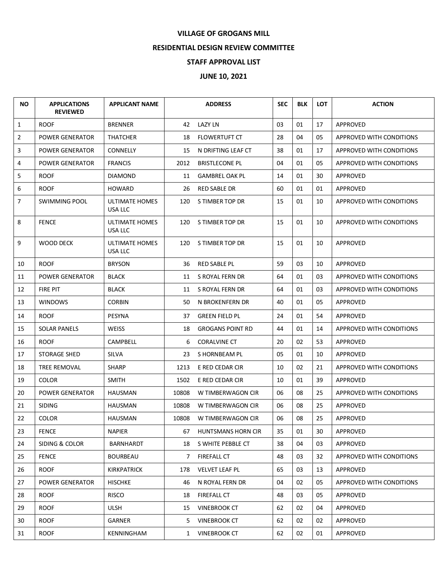## **VILLAGE OF GROGANS MILL**

## **RESIDENTIAL DESIGN REVIEW COMMITTEE**

## **STAFF APPROVAL LIST**

## **JUNE 10, 2021**

| <b>NO</b>    | <b>APPLICATIONS</b><br><b>REVIEWED</b> | <b>APPLICANT NAME</b>            |              | <b>ADDRESS</b>            | <b>SEC</b> | <b>BLK</b> | <b>LOT</b> | <b>ACTION</b>                   |
|--------------|----------------------------------------|----------------------------------|--------------|---------------------------|------------|------------|------------|---------------------------------|
| $\mathbf{1}$ | <b>ROOF</b>                            | <b>BRENNER</b>                   | 42           | LAZY LN                   | 03         | 01         | 17         | APPROVED                        |
| 2            | <b>POWER GENERATOR</b>                 | <b>THATCHER</b>                  | 18           | FLOWERTUFT CT             | 28         | 04         | 05         | APPROVED WITH CONDITIONS        |
| 3            | <b>POWER GENERATOR</b>                 | <b>CONNELLY</b>                  | 15           | N DRIFTING LEAF CT        | 38         | 01         | 17         | APPROVED WITH CONDITIONS        |
| 4            | <b>POWER GENERATOR</b>                 | <b>FRANCIS</b>                   | 2012         | <b>BRISTLECONE PL</b>     | 04         | 01         | 05         | <b>APPROVED WITH CONDITIONS</b> |
| 5            | <b>ROOF</b>                            | <b>DIAMOND</b>                   | 11           | <b>GAMBREL OAK PL</b>     | 14         | 01         | 30         | APPROVED                        |
| 6            | <b>ROOF</b>                            | <b>HOWARD</b>                    | 26           | RED SABLE DR              | 60         | 01         | 01         | APPROVED                        |
| 7            | <b>SWIMMING POOL</b>                   | ULTIMATE HOMES<br>USA LLC        | 120          | S TIMBER TOP DR           | 15         | 01         | 10         | APPROVED WITH CONDITIONS        |
| 8            | <b>FENCE</b>                           | <b>ULTIMATE HOMES</b><br>USA LLC | 120          | S TIMBER TOP DR           | 15         | 01         | 10         | APPROVED WITH CONDITIONS        |
| 9            | <b>WOOD DECK</b>                       | ULTIMATE HOMES<br>USA LLC        | 120          | S TIMBER TOP DR           | 15         | 01         | 10         | APPROVED                        |
| 10           | <b>ROOF</b>                            | <b>BRYSON</b>                    | 36           | RED SABLE PL              | 59         | 03         | 10         | APPROVED                        |
| 11           | <b>POWER GENERATOR</b>                 | <b>BLACK</b>                     | 11           | S ROYAL FERN DR           | 64         | 01         | 03         | APPROVED WITH CONDITIONS        |
| 12           | FIRE PIT                               | <b>BLACK</b>                     | 11           | S ROYAL FERN DR           | 64         | 01         | 03         | APPROVED WITH CONDITIONS        |
| 13           | <b>WINDOWS</b>                         | <b>CORBIN</b>                    | 50           | N BROKENFERN DR           | 40         | 01         | 05         | APPROVED                        |
| 14           | <b>ROOF</b>                            | PESYNA                           | 37           | <b>GREEN FIELD PL</b>     | 24         | 01         | 54         | APPROVED                        |
| 15           | <b>SOLAR PANELS</b>                    | WEISS                            | 18           | <b>GROGANS POINT RD</b>   | 44         | 01         | 14         | APPROVED WITH CONDITIONS        |
| 16           | <b>ROOF</b>                            | <b>CAMPBELL</b>                  | 6            | <b>CORALVINE CT</b>       | 20         | 02         | 53         | APPROVED                        |
| 17           | STORAGE SHED                           | SILVA                            | 23           | S HORNBEAM PL             | 05         | 01         | 10         | APPROVED                        |
| 18           | TREE REMOVAL                           | <b>SHARP</b>                     | 1213         | E RED CEDAR CIR           | 10         | 02         | 21         | APPROVED WITH CONDITIONS        |
| 19           | <b>COLOR</b>                           | <b>SMITH</b>                     | 1502         | E RED CEDAR CIR           | 10         | 01         | 39         | APPROVED                        |
| 20           | POWER GENERATOR                        | HAUSMAN                          | 10808        | W TIMBERWAGON CIR         | 06         | 08         | 25         | APPROVED WITH CONDITIONS        |
| 21           | <b>SIDING</b>                          | HAUSMAN                          | 10808        | W TIMBERWAGON CIR         | 06         | 08         | 25         | APPROVED                        |
| 22           | <b>COLOR</b>                           | <b>HAUSMAN</b>                   | 10808        | W TIMBERWAGON CIR         | 06         | 08         | 25         | <b>APPROVED</b>                 |
| 23           | <b>FENCE</b>                           | <b>NAPIER</b>                    | 67           | <b>HUNTSMANS HORN CIR</b> | 35         | 01         | 30         | APPROVED                        |
| 24           | SIDING & COLOR                         | BARNHARDT                        | 18           | S WHITE PEBBLE CT         | 38         | 04         | 03         | APPROVED                        |
| 25           | <b>FENCE</b>                           | <b>BOURBEAU</b>                  | 7            | <b>FIREFALL CT</b>        | 48         | 03         | 32         | APPROVED WITH CONDITIONS        |
| 26           | <b>ROOF</b>                            | <b>KIRKPATRICK</b>               | 178          | <b>VELVET LEAF PL</b>     | 65         | 03         | 13         | APPROVED                        |
| 27           | POWER GENERATOR                        | <b>HISCHKE</b>                   | 46           | N ROYAL FERN DR           | 04         | 02         | 05         | APPROVED WITH CONDITIONS        |
| 28           | <b>ROOF</b>                            | <b>RISCO</b>                     | 18           | <b>FIREFALL CT</b>        | 48         | 03         | 05         | APPROVED                        |
| 29           | <b>ROOF</b>                            | <b>ULSH</b>                      | 15           | <b>VINEBROOK CT</b>       | 62         | 02         | 04         | <b>APPROVED</b>                 |
| 30           | <b>ROOF</b>                            | GARNER                           | 5.           | <b>VINEBROOK CT</b>       | 62         | 02         | 02         | APPROVED                        |
| 31           | <b>ROOF</b>                            | KENNINGHAM                       | $\mathbf{1}$ | <b>VINEBROOK CT</b>       | 62         | 02         | 01         | APPROVED                        |